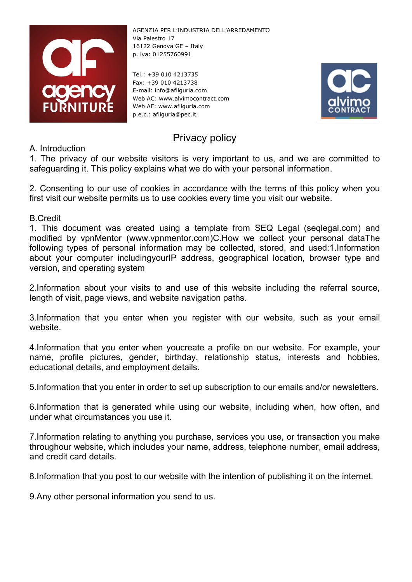

Tel.: +39 010 4213735 Fax: +39 010 4213738 E-mail: info@afliguria.com Web AC: www.alvimocontract.com Web AF: www.afliguria.com p.e.c.: afliguria@pec.it



# Privacy policy

A. Introduction

1. The privacy of our website visitors is very important to us, and we are committed to safeguarding it. This policy explains what we do with your personal information.

2. Consenting to our use of cookies in accordance with the terms of this policy when you first visit our website permits us to use cookies every time you visit our website.

B.Credit

1. This document was created using a template from SEQ Legal (seqlegal.com) and modified by vpnMentor (www.vpnmentor.com)C.How we collect your personal dataThe following types of personal information may be collected, stored, and used:1.Information about your computer includingyourIP address, geographical location, browser type and version, and operating system

2.Information about your visits to and use of this website including the referral source, length of visit, page views, and website navigation paths.

3.Information that you enter when you register with our website, such as your email website.

4.Information that you enter when youcreate a profile on our website. For example, your name, profile pictures, gender, birthday, relationship status, interests and hobbies, educational details, and employment details.

5.Information that you enter in order to set up subscription to our emails and/or newsletters.

6.Information that is generated while using our website, including when, how often, and under what circumstances you use it.

7.Information relating to anything you purchase, services you use, or transaction you make throughour website, which includes your name, address, telephone number, email address, and credit card details.

8.Information that you post to our website with the intention of publishing it on the internet.

9.Any other personal information you send to us.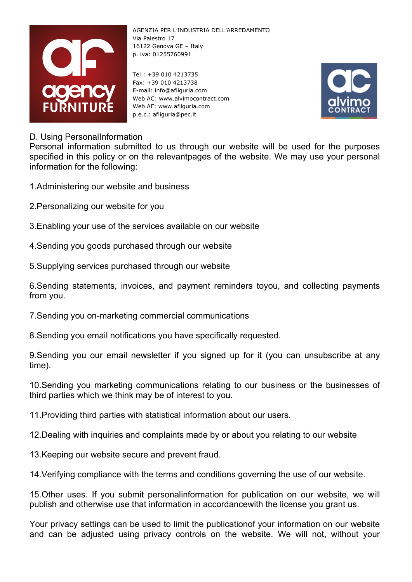

Tel.: +39 010 4213735 Fax: +39 010 4213738 E-mail: info@afliguria.com Web AC: www.alvimocontract.com Web AF: www.afliguria.com p.e.c.: afliguria@pec.it



## D. Using PersonalInformation

Personal information submitted to us through our website will be used for the purposes specified in this policy or on the relevantpages of the website. We may use your personal information for the following:

- 1.Administering our website and business
- 2.Personalizing our website for you
- 3.Enabling your use of the services available on our website
- 4.Sending you goods purchased through our website

5.Supplying services purchased through our website

6.Sending statements, invoices, and payment reminders toyou, and collecting payments from you.

7.Sending you on-marketing commercial communications

8.Sending you email notifications you have specifically requested.

9.Sending you our email newsletter if you signed up for it (you can unsubscribe at any time).

10.Sending you marketing communications relating to our business or the businesses of third parties which we think may be of interest to you.

11.Providing third parties with statistical information about our users.

12.Dealing with inquiries and complaints made by or about you relating to our website

13.Keeping our website secure and prevent fraud.

14.Verifying compliance with the terms and conditions governing the use of our website.

15.Other uses. If you submit personalinformation for publication on our website, we will publish and otherwise use that information in accordancewith the license you grant us.

Your privacy settings can be used to limit the publicationof your information on our website and can be adjusted using privacy controls on the website. We will not, without your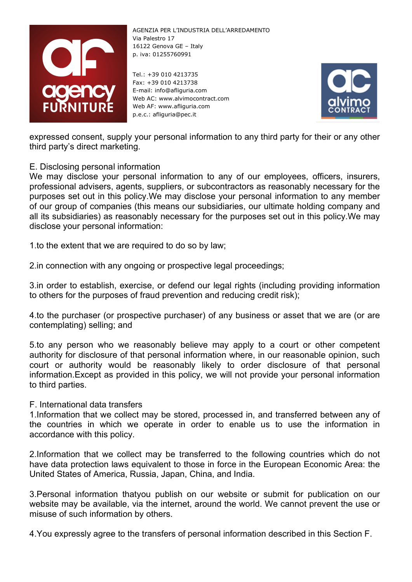

Tel.: +39 010 4213735 Fax: +39 010 4213738 E-mail: info@afliguria.com Web AC: www.alvimocontract.com Web AF: www.afliguria.com p.e.c.: afliguria@pec.it



expressed consent, supply your personal information to any third party for their or any other third party's direct marketing.

### E. Disclosing personal information

We may disclose your personal information to any of our employees, officers, insurers, professional advisers, agents, suppliers, or subcontractors as reasonably necessary for the purposes set out in this policy.We may disclose your personal information to any member of our group of companies (this means our subsidiaries, our ultimate holding company and all its subsidiaries) as reasonably necessary for the purposes set out in this policy.We may disclose your personal information:

1.to the extent that we are required to do so by law;

2.in connection with any ongoing or prospective legal proceedings;

3.in order to establish, exercise, or defend our legal rights (including providing information to others for the purposes of fraud prevention and reducing credit risk);

4.to the purchaser (or prospective purchaser) of any business or asset that we are (or are contemplating) selling; and

5.to any person who we reasonably believe may apply to a court or other competent authority for disclosure of that personal information where, in our reasonable opinion, such court or authority would be reasonably likely to order disclosure of that personal information.Except as provided in this policy, we will not provide your personal information to third parties.

#### F. International data transfers

1.Information that we collect may be stored, processed in, and transferred between any of the countries in which we operate in order to enable us to use the information in accordance with this policy.

2.Information that we collect may be transferred to the following countries which do not have data protection laws equivalent to those in force in the European Economic Area: the United States of America, Russia, Japan, China, and India.

3.Personal information thatyou publish on our website or submit for publication on our website may be available, via the internet, around the world. We cannot prevent the use or misuse of such information by others.

4.You expressly agree to the transfers of personal information described in this Section F.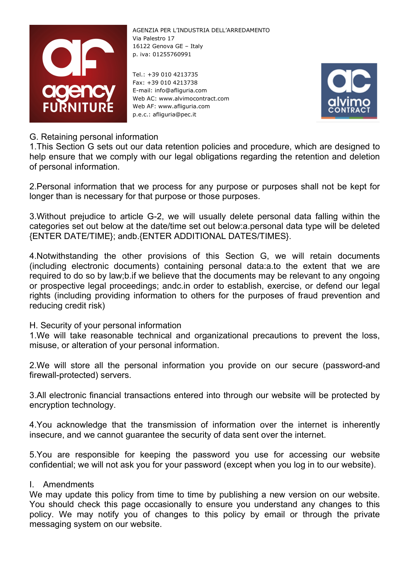

Tel.: +39 010 4213735 Fax: +39 010 4213738 E-mail: info@afliguria.com Web AC: www.alvimocontract.com Web AF: www.afliguria.com p.e.c.: afliguria@pec.it



# G. Retaining personal information

1.This Section G sets out our data retention policies and procedure, which are designed to help ensure that we comply with our legal obligations regarding the retention and deletion of personal information.

2.Personal information that we process for any purpose or purposes shall not be kept for longer than is necessary for that purpose or those purposes.

3.Without prejudice to article G-2, we will usually delete personal data falling within the categories set out below at the date/time set out below:a.personal data type will be deleted {ENTER DATE/TIME}; andb.{ENTER ADDITIONAL DATES/TIMES}.

4.Notwithstanding the other provisions of this Section G, we will retain documents (including electronic documents) containing personal data:a.to the extent that we are required to do so by law;b.if we believe that the documents may be relevant to any ongoing or prospective legal proceedings; andc.in order to establish, exercise, or defend our legal rights (including providing information to others for the purposes of fraud prevention and reducing credit risk)

H. Security of your personal information

1.We will take reasonable technical and organizational precautions to prevent the loss, misuse, or alteration of your personal information.

2.We will store all the personal information you provide on our secure (password-and firewall-protected) servers.

3.All electronic financial transactions entered into through our website will be protected by encryption technology.

4.You acknowledge that the transmission of information over the internet is inherently insecure, and we cannot guarantee the security of data sent over the internet.

5.You are responsible for keeping the password you use for accessing our website confidential; we will not ask you for your password (except when you log in to our website).

#### I. Amendments

We may update this policy from time to time by publishing a new version on our website. You should check this page occasionally to ensure you understand any changes to this policy. We may notify you of changes to this policy by email or through the private messaging system on our website.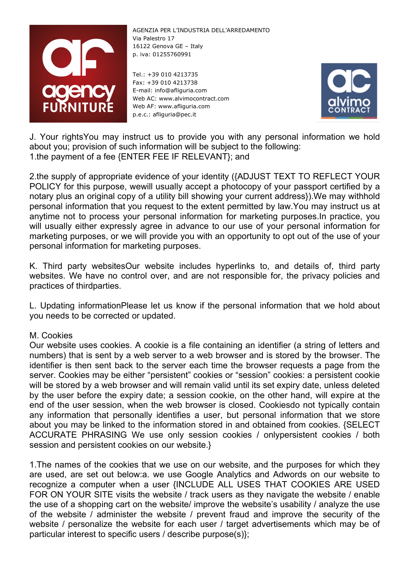

Tel.: +39 010 4213735 Fax: +39 010 4213738 E-mail: info@afliguria.com Web AC: www.alvimocontract.com Web AF: www.afliguria.com p.e.c.: afliguria@pec.it



J. Your rightsYou may instruct us to provide you with any personal information we hold about you; provision of such information will be subject to the following: 1.the payment of a fee {ENTER FEE IF RELEVANT}; and

2.the supply of appropriate evidence of your identity ({ADJUST TEXT TO REFLECT YOUR POLICY for this purpose, wewill usually accept a photocopy of your passport certified by a notary plus an original copy of a utility bill showing your current address}).We may withhold personal information that you request to the extent permitted by law.You may instruct us at anytime not to process your personal information for marketing purposes.In practice, you will usually either expressly agree in advance to our use of your personal information for marketing purposes, or we will provide you with an opportunity to opt out of the use of your personal information for marketing purposes.

K. Third party websitesOur website includes hyperlinks to, and details of, third party websites. We have no control over, and are not responsible for, the privacy policies and practices of thirdparties.

L. Updating informationPlease let us know if the personal information that we hold about you needs to be corrected or updated.

#### M. Cookies

Our website uses cookies. A cookie is a file containing an identifier (a string of letters and numbers) that is sent by a web server to a web browser and is stored by the browser. The identifier is then sent back to the server each time the browser requests a page from the server. Cookies may be either "persistent" cookies or "session" cookies: a persistent cookie will be stored by a web browser and will remain valid until its set expiry date, unless deleted by the user before the expiry date; a session cookie, on the other hand, will expire at the end of the user session, when the web browser is closed. Cookiesdo not typically contain any information that personally identifies a user, but personal information that we store about you may be linked to the information stored in and obtained from cookies. {SELECT ACCURATE PHRASING We use only session cookies / onlypersistent cookies / both session and persistent cookies on our website.}

1.The names of the cookies that we use on our website, and the purposes for which they are used, are set out below:a. we use Google Analytics and Adwords on our website to recognize a computer when a user {INCLUDE ALL USES THAT COOKIES ARE USED FOR ON YOUR SITE visits the website / track users as they navigate the website / enable the use of a shopping cart on the website/ improve the website's usability / analyze the use of the website / administer the website / prevent fraud and improve the security of the website / personalize the website for each user / target advertisements which may be of particular interest to specific users / describe purpose(s)};